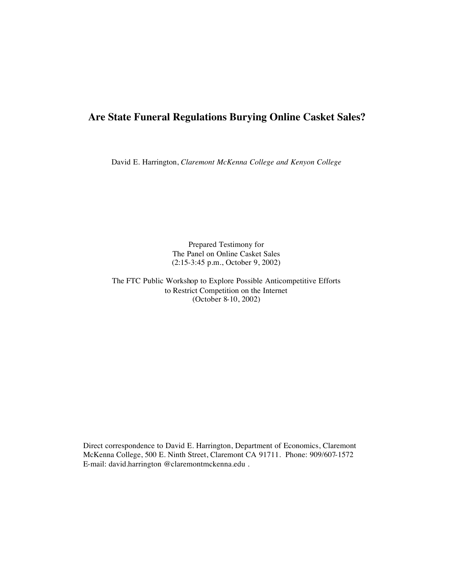# **Are State Funeral Regulations Burying Online Casket Sales?**

David E. Harrington, *Claremont McKenna College and Kenyon College*

Prepared Testimony for The Panel on Online Casket Sales (2:15-3:45 p.m., October 9, 2002)

The FTC Public Workshop to Explore Possible Anticompetitive Efforts to Restrict Competition on the Internet (October 8-10, 2002)

Direct correspondence to David E. Harrington, Department of Economics, Claremont McKenna College, 500 E. Ninth Street, Claremont CA 91711. Phone: 909/607-1572 E-mail: david.harrington @claremontmckenna.edu .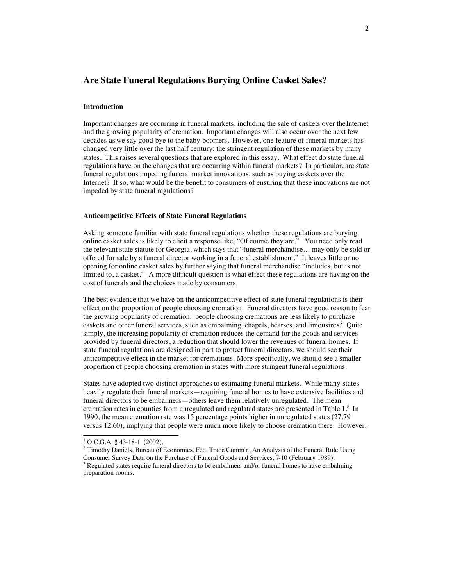# **Are State Funeral Regulations Burying Online Casket Sales?**

#### **Introduction**

Important changes are occurring in funeral markets, including the sale of caskets over the Internet and the growing popularity of cremation. Important changes will also occur over the next few decades as we say good-bye to the baby-boomers. However, one feature of funeral markets has changed very little over the last half century: the stringent regulation of these markets by many states. This raises several questions that are explored in this essay. What effect do state funeral regulations have on the changes that are occurring within funeral markets? In particular, are state funeral regulations impeding funeral market innovations, such as buying caskets over the Internet? If so, what would be the benefit to consumers of ensuring that these innovations are not impeded by state funeral regulations?

### **Anticompetitive Effects of State Funeral Regulations**

Asking someone familiar with state funeral regulations whether these regulations are burying online casket sales is likely to elicit a response like, "Of course they are." You need only read the relevant state statute for Georgia, which says that "funeral merchandise… may only be sold or offered for sale by a funeral director working in a funeral establishment." It leaves little or no opening for online casket sales by further saying that funeral merchandise "includes, but is not limited to, a casket."<sup>1</sup> A more difficult question is what effect these regulations are having on the cost of funerals and the choices made by consumers.

The best evidence that we have on the anticompetitive effect of state funeral regulations is their effect on the proportion of people choosing cremation. Funeral directors have good reason to fear the growing popularity of cremation: people choosing cremations are less likely to purchase caskets and other funeral services, such as embalming, chapels, hearses, and limousines.<sup>2</sup> Quite simply, the increasing popularity of cremation reduces the demand for the goods and services provided by funeral directors, a reduction that should lower the revenues of funeral homes. If state funeral regulations are designed in part to protect funeral directors, we should see their anticompetitive effect in the market for cremations. More specifically, we should see a smaller proportion of people choosing cremation in states with more stringent funeral regulations.

States have adopted two distinct approaches to estimating funeral markets. While many states heavily regulate their funeral markets—requiring funeral homes to have extensive facilities and funeral directors to be embalmers—others leave them relatively unregulated. The mean cremation rates in counties from unregulated and regulated states are presented in Table  $1<sup>3</sup>$  In 1990, the mean cremation rate was 15 percentage points higher in unregulated states (27.79 versus 12.60), implying that people were much more likely to choose cremation there. However,

 $\frac{1}{1}$  $1$  O.C.G.A. § 43-18-1 (2002).

 $2$  Timothy Daniels, Bureau of Economics, Fed. Trade Comm'n, An Analysis of the Funeral Rule Using Consumer Survey Data on the Purchase of Funeral Goods and Services, 7-10 (February 1989). <sup>3</sup>

 $3$  Regulated states require funeral directors to be embalmers and/or funeral homes to have embalming preparation rooms.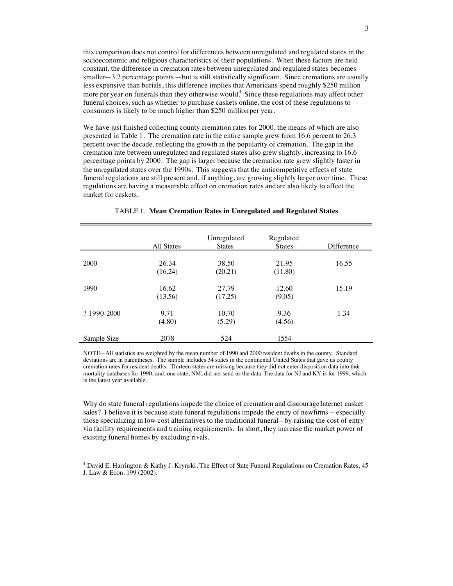this comparison does not control for differences between unregulated and regulated states in the socioeconomic and religious characteristics of their populations. When these factors are held constant, the difference in cremation rates between unregulated and regulated states becomes smaller—3.2 percentage points —but is still statistically significant. Since cremations are usually less expensive than burials, this difference implies that Americans spend roughly \$250 million more per year on funerals than they otherwise would.<sup>4</sup> Since these regulations may affect other funeral choices, such as whether to purchase caskets online, the cost of these regulations to consumers is likely to be much higher than \$250 million per year.

We have just finished collecting county cremation rates for 2000, the means of which are also presented in Table 1. The cremation rate in the entire sample grew from 16.6 percent to 26.3 percent over the decade, reflecting the growth in the popularity of cremation. The gap in the cremation rate between unregulated and regulated states also grew slightly, increasing to 16.6 percentage points by 2000. The gap is larger because the cremation rate grew slightly faster in the unregulated states over the 1990s. This suggests that the anticompetitive effects of state funeral regulations are still present and, if anything, are growing slightly larger over time. These regulations are having a measurable effect on cremation rates and are also likely to affect the market for caskets.

|             | All States | Unregulated<br><b>States</b> | Regulated<br><b>States</b> | <b>Difference</b> |
|-------------|------------|------------------------------|----------------------------|-------------------|
|             |            |                              |                            |                   |
| 2000        | 26.34      | 38.50                        | 21.95                      | 16.55             |
|             | (16.24)    | (20.21)                      | (11.80)                    |                   |
| 1990        | 16.62      | 27.79                        | 12.60                      | 15.19             |
|             | (13.56)    | (17.25)                      | (9.05)                     |                   |
| ? 1990-2000 | 9.71       | 10.70                        | 9.36                       | 1.34              |
|             | (4.80)     | (5.29)                       | (4.56)                     |                   |
| Sample Size | 2078       | 524                          | 1554                       |                   |

#### TABLE 1. **Mean Cremation Rates in Unregulated and Regulated States**

NOTE—All statistics are weighted by the mean number of 1990 and 2000 resident deaths in the county. Standard deviations are in parentheses. The sample includes 34 states in the continental United States that gave us county cremation rates for resident deaths. Thirteen states are missing because they did not enter disposition data into their mortality databases for 1990; and, one state, NM, did not send us the data. The data for NJ and KY is for 1999, which is the latest year available.

Why do state funeral regulations impede the choice of cremation and discourage Internet casket sales? I believe it is because state funeral regulations impede the entry of new firms —especially those specializing in low-cost alternatives to the traditional funeral—by raising the cost of entry via facility requirements and training requirements. In short, they increase the market power of existing funeral homes by excluding rivals.

 <sup>4</sup> David E. Harrington & Kathy J. Krynski, The Effect of State Funeral Regulations on Cremation Rates, 45 J. Law & Econ. 199 (2002).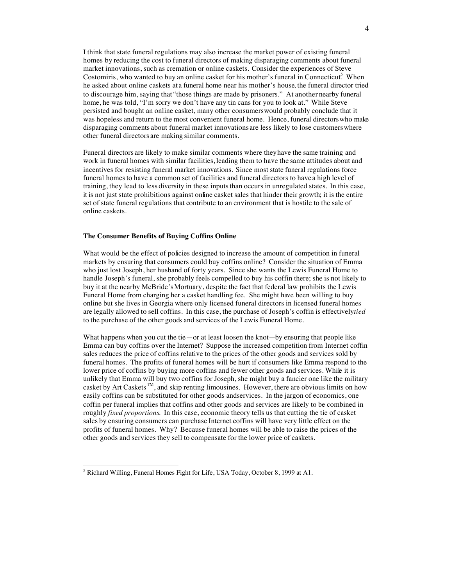I think that state funeral regulations may also increase the market power of existing funeral homes by reducing the cost to funeral directors of making disparaging comments about funeral market innovations, such as cremation or online caskets. Consider the experiences of Steve Costomiris, who wanted to buy an online casket for his mother's funeral in Connecticut.<sup>5</sup> When he asked about online caskets at a funeral home near his mother's house, the funeral director tried to discourage him, saying that "those things are made by prisoners." At another nearby funeral home, he was told, "I'm sorry we don't have any tin cans for you to look at." While Steve persisted and bought an online casket, many other consumers would probably conclude that it was hopeless and return to the most convenient funeral home. Hence, funeral directors who make disparaging comments about funeral market innovations are less likely to lose customers where other funeral directors are making similar comments.

Funeral directors are likely to make similar comments where they have the same training and work in funeral homes with similar facilities, leading them to have the same attitudes about and incentives for resisting funeral market innovations. Since most state funeral regulations force funeral homes to have a common set of facilities and funeral directors to have a high level of training, they lead to less diversity in these inputs than occurs in unregulated states. In this case, it is not just state prohibitions against online casket sales that hinder their growth; it is the entire set of state funeral regulations that contribute to an environment that is hostile to the sale of online caskets.

# **The Consumer Benefits of Buying Coffins Online**

What would be the effect of policies designed to increase the amount of competition in funeral markets by ensuring that consumers could buy coffins online? Consider the situation of Emma who just lost Joseph, her husband of forty years. Since she wants the Lewis Funeral Home to handle Joseph's funeral, she probably feels compelled to buy his coffin there; she is not likely to buy it at the nearby McBride's Mortuary, despite the fact that federal law prohibits the Lewis Funeral Home from charging her a casket handling fee. She might have been willing to buy online but she lives in Georgia where only licensed funeral directors in licensed funeral homes are legally allowed to sell coffins. In this case, the purchase of Joseph's coffin is effectively *tied* to the purchase of the other goods and services of the Lewis Funeral Home.

What happens when you cut the tie—or at least loosen the knot—by ensuring that people like Emma can buy coffins over the Internet? Suppose the increased competition from Internet coffin sales reduces the price of coffins relative to the prices of the other goods and services sold by funeral homes. The profits of funeral homes will be hurt if consumers like Emma respond to the lower price of coffins by buying more coffins and fewer other goods and services. While it is unlikely that Emma will buy two coffins for Joseph, she might buy a fancier one like the military casket by Art Caskets TM, and skip renting limousines. However, there are obvious limits on how easily coffins can be substituted for other goods and services. In the jargon of economics, one coffin per funeral implies that coffins and other goods and services are likely to be combined in roughly *fixed proportions*. In this case, economic theory tells us that cutting the tie of casket sales by ensuring consumers can purchase Internet coffins will have very little effect on the profits of funeral homes. Why? Because funeral homes will be able to raise the prices of the other goods and services they sell to compensate for the lower price of caskets.

 <sup>5</sup> <sup>5</sup> Richard Willing, Funeral Homes Fight for Life, USA Today, October 8, 1999 at A1.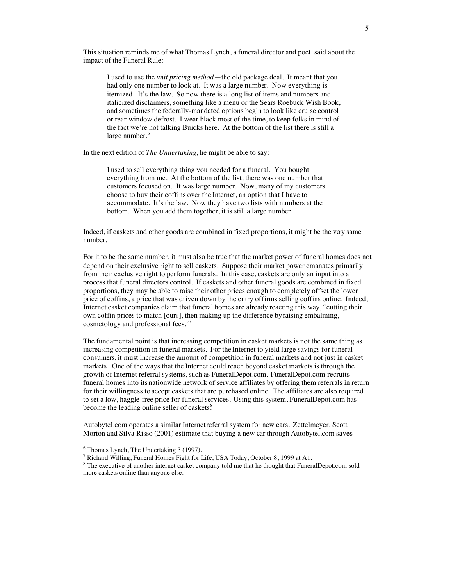This situation reminds me of what Thomas Lynch, a funeral director and poet, said about the impact of the Funeral Rule:

I used to use the *unit pricing method*—the old package deal. It meant that you had only one number to look at. It was a large number. Now everything is itemized. It's the law. So now there is a long list of items and numbers and italicized disclaimers, something like a menu or the Sears Roebuck Wish Book, and sometimes the federally-mandated options begin to look like cruise control or rear-window defrost. I wear black most of the time, to keep folks in mind of the fact we're not talking Buicks here. At the bottom of the list there is still a large number.<sup>6</sup>

In the next edition of *The Undertaking*, he might be able to say:

I used to sell everything thing you needed for a funeral. You bought everything from me. At the bottom of the list, there was one number that customers focused on. It was large number. Now, many of my customers choose to buy their coffins over the Internet, an option that I have to accommodate. It's the law. Now they have two lists with numbers at the bottom. When you add them together, it is still a large number.

Indeed, if caskets and other goods are combined in fixed proportions, it might be the very same number.

For it to be the same number, it must also be true that the market power of funeral homes does not depend on their exclusive right to sell caskets. Suppose their market power emanates primarily from their exclusive right to perform funerals. In this case, caskets are only an input into a process that funeral directors control. If caskets and other funeral goods are combined in fixed proportions, they may be able to raise their other prices enough to completely offset the lower price of coffins, a price that was driven down by the entry of firms selling coffins online. Indeed, Internet casket companies claim that funeral homes are already reacting this way, "cutting their own coffin prices to match [ours], then making up the difference by raising embalming, cosmetology and professional fees."<sup>7</sup>

The fundamental point is that increasing competition in casket markets is not the same thing as increasing competition in funeral markets. For the Internet to yield large savings for funeral consumers, it must increase the amount of competition in funeral markets and not just in casket markets. One of the ways that the Internet could reach beyond casket markets is through the growth of Internet referral systems, such as FuneralDepot.com. FuneralDepot.com recruits funeral homes into its nationwide network of service affiliates by offering them referrals in return for their willingness to accept caskets that are purchased online. The affiliates are also required to set a low, haggle-free price for funeral services. Using this system, FuneralDepot.com has become the leading online seller of caskets.<sup>8</sup>

Autobytel.com operates a similar Internet referral system for new cars. Zettelmeyer, Scott Morton and Silva-Risso (2001) estimate that buying a new car through Autobytel.com saves

 <sup>6</sup>  $6$  Thomas Lynch, The Undertaking 3 (1997).

<sup>&</sup>lt;sup>7</sup> Richard Willing, Funeral Homes Fight for Life, USA Today, October 8, 1999 at A1.

 $8$  The executive of another internet casket company told me that he thought that FuneralDepot.com sold more caskets online than anyone else.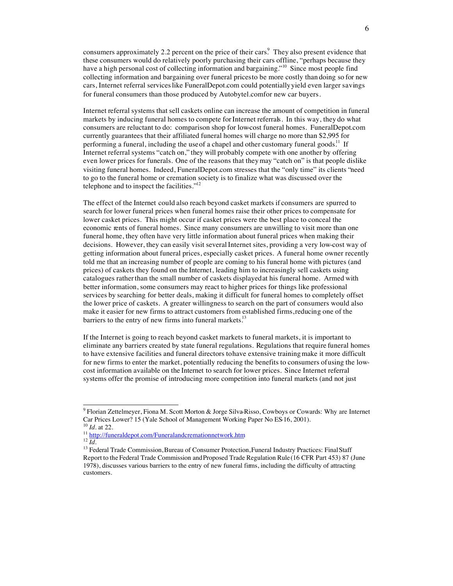consumers approximately 2.2 percent on the price of their cars. They also present evidence that these consumers would do relatively poorly purchasing their cars offline, "perhaps because they have a high personal cost of collecting information and bargaining."<sup>10</sup> Since most people find collecting information and bargaining over funeral prices to be more costly than doing so for new cars, Internet referral services like FuneralDepot.com could potentially yield even larger savings for funeral consumers than those produced by Autobytel.comfor new car buyers.

Internet referral systems that sell caskets online can increase the amount of competition in funeral markets by inducing funeral homes to compete for Internet referrals. In this way, they do what consumers are reluctant to do: comparison shop for low-cost funeral homes. FuneralDepot.com currently guarantees that their affiliated funeral homes will charge no more than \$2,995 for performing a funeral, including the use of a chapel and other customary funeral goods.<sup>11</sup> If Internet referral systems "catch on," they will probably compete with one another by offering even lower prices for funerals. One of the reasons that they may "catch on" is that people dislike visiting funeral homes. Indeed, FuneralDepot.com stresses that the "only time" its clients "need to go to the funeral home or cremation society is to finalize what was discussed over the telephone and to inspect the facilities."<sup>12</sup>

The effect of the Internet could also reach beyond casket markets if consumers are spurred to search for lower funeral prices when funeral homes raise their other prices to compensate for lower casket prices. This might occur if casket prices were the best place to conceal the economic rents of funeral homes. Since many consumers are unwilling to visit more than one funeral home, they often have very little information about funeral prices when making their decisions. However, they can easily visit several Internet sites, providing a very low-cost way of getting information about funeral prices, especially casket prices. A funeral home owner recently told me that an increasing number of people are coming to his funeral home with pictures (and prices) of caskets they found on the Internet, leading him to increasingly sell caskets using catalogues rather than the small number of caskets displayed at his funeral home. Armed with better information, some consumers may react to higher prices for things like professional services by searching for better deals, making it difficult for funeral homes to completely offset the lower price of caskets. A greater willingness to search on the part of consumers would also make it easier for new firms to attract customers from established firms, reducing one of the barriers to the entry of new firms into funeral markets.<sup>13</sup>

If the Internet is going to reach beyond casket markets to funeral markets, it is important to eliminate any barriers created by state funeral regulations. Regulations that require funeral homes to have extensive facilities and funeral directors to have extensive training make it more difficult for new firms to enter the market, potentially reducing the benefits to consumers of using the lowcost information available on the Internet to search for lower prices. Since Internet referral systems offer the promise of introducing more competition into funeral markets (and not just

<sup>-&</sup>lt;br>9 Florian Zettelmeyer, Fiona M. Scott Morton & Jorge Silva-Risso, Cowboys or Cowards: Why are Internet Car Prices Lower? 15 (Yale School of Management Working Paper No ES-16, 2001).<br><sup>10</sup> *Id.* at 22.<br><sup>11</sup> http://funeraldepot.com/Funeralandcremationnetwork.htm<br><sup>12</sup> *Id.*<br><sup>13</sup> Federal Trade Commission, Bureau of Consumer Prot

Report to the Federal Trade Commission and Proposed Trade Regulation Rule (16 CFR Part 453) 87 (June 1978), discusses various barriers to the entry of new funeral firms, including the difficulty of attracting customers.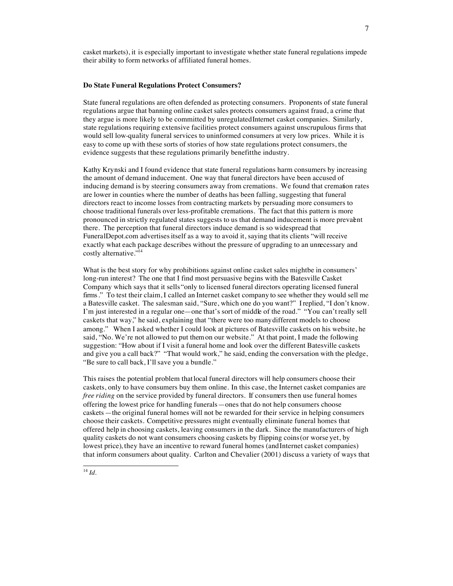casket markets), it is especially important to investigate whether state funeral regulations impede their ability to form networks of affiliated funeral homes.

#### **Do State Funeral Regulations Protect Consumers?**

State funeral regulations are often defended as protecting consumers. Proponents of state funeral regulations argue that banning online casket sales protects consumers against fraud, a crime that they argue is more likely to be committed by unregulated Internet casket companies. Similarly, state regulations requiring extensive facilities protect consumers against unscrupulous firms that would sell low-quality funeral services to uninformed consumers at very low prices. While it is easy to come up with these sorts of stories of how state regulations protect consumers, the evidence suggests that these regulations primarily benefit the industry.

Kathy Krynski and I found evidence that state funeral regulations harm consumers by increasing the amount of demand inducement. One way that funeral directors have been accused of inducing demand is by steering consumers away from cremations. We found that cremation rates are lower in counties where the number of deaths has been falling, suggesting that funeral directors react to income losses from contracting markets by persuading more consumers to choose traditional funerals over less-profitable cremations. The fact that this pattern is more pronounced in strictly regulated states suggests to us that demand inducement is more prevalent there. The perception that funeral directors induce demand is so widespread that FuneralDepot.com advertises itself as a way to avoid it, saying that its clients "will receive exactly what each package describes without the pressure of upgrading to an unnecessary and costly alternative." 14

What is the best story for why prohibitions against online casket sales might be in consumers' long-run interest? The one that I find most persuasive begins with the Batesville Casket Company which says that it sells "only to licensed funeral directors operating licensed funeral firms." To test their claim, I called an Internet casket company to see whether they would sell me a Batesville casket. The salesman said, "Sure, which one do you want?" I replied, "I don't know. I'm just interested in a regular one—one that's sort of middle of the road." "You can't really sell caskets that way," he said, explaining that "there were too many different models to choose among." When I asked whether I could look at pictures of Batesville caskets on his website, he said, "No. We're not allowed to put them on our website." At that point, I made the following suggestion: "How about if I visit a funeral home and look over the different Batesville caskets and give you a call back?" "That would work," he said, ending the conversation with the pledge, "Be sure to call back, I'll save you a bundle."

This raises the potential problem that local funeral directors will help consumers choose their caskets, only to have consumers buy them online. In this case, the Internet casket companies are *free riding* on the service provided by funeral directors. If consumers then use funeral homes offering the lowest price for handling funerals—ones that do not help consumers choose caskets—the original funeral homes will not be rewarded for their service in helping consumers choose their caskets. Competitive pressures might eventually eliminate funeral homes that offered help in choosing caskets, leaving consumers in the dark. Since the manufacturers of high quality caskets do not want consumers choosing caskets by flipping coins (or worse yet, by lowest price), they have an incentive to reward funeral homes (and Internet casket companies) that inform consumers about quality. Carlton and Chevalier (2001) discuss a variety of ways that

7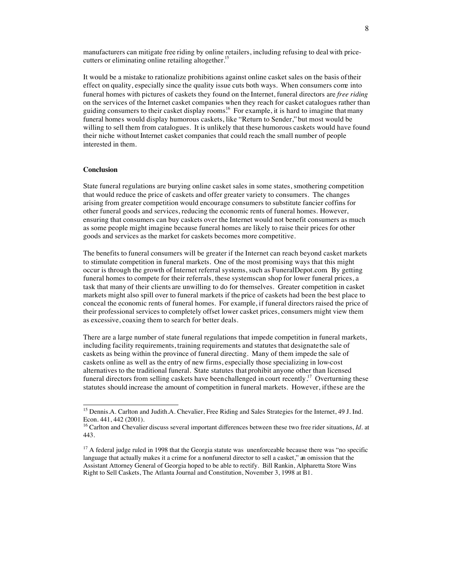manufacturers can mitigate free riding by online retailers, including refusing to deal with pricecutters or eliminating online retailing altogether.<sup>15</sup>

It would be a mistake to rationalize prohibitions against online casket sales on the basis of their effect on quality, especially since the quality issue cuts both ways. When consumers come into funeral homes with pictures of caskets they found on the Internet, funeral directors are *free riding* on the services of the Internet casket companies when they reach for casket catalogues rather than guiding consumers to their casket display rooms.16 For example, it is hard to imagine that many funeral homes would display humorous caskets, like "Return to Sender,"but most would be willing to sell them from catalogues. It is unlikely that these humorous caskets would have found their niche without Internet casket companies that could reach the small number of people interested in them.

# **Conclusion**

State funeral regulations are burying online casket sales in some states, smothering competition that would reduce the price of caskets and offer greater variety to consumers. The changes arising from greater competition would encourage consumers to substitute fancier coffins for other funeral goods and services, reducing the economic rents of funeral homes. However, ensuring that consumers can buy caskets over the Internet would not benefit consumers as much as some people might imagine because funeral homes are likely to raise their prices for other goods and services as the market for caskets becomes more competitive.

The benefits to funeral consumers will be greater if the Internet can reach beyond casket markets to stimulate competition in funeral markets. One of the most promising ways that this might occur is through the growth of Internet referral systems, such as FuneralDepot.com. By getting funeral homes to compete for their referrals, these systems can shop for lower funeral prices, a task that many of their clients are unwilling to do for themselves. Greater competition in casket markets might also spill over to funeral markets if the price of caskets had been the best place to conceal the economic rents of funeral homes. For example, if funeral directors raised the price of their professional services to completely offset lower casket prices, consumers might view them as excessive, coaxing them to search for better deals.

There are a large number of state funeral regulations that impede competition in funeral markets, including facility requirements, training requirements and statutes that designate the sale of caskets as being within the province of funeral directing. Many of them impede the sale of caskets online as well as the entry of new firms, especially those specializing in low-cost alternatives to the traditional funeral. State statutes that prohibit anyone other than licensed funeral directors from selling caskets have been challenged in court recently.<sup>17</sup> Overturning these statutes should increase the amount of competition in funeral markets. However, ifthese are the

<sup>&</sup>lt;sup>15</sup> Dennis.A. Carlton and Judith.A. Chevalier, Free Riding and Sales Strategies for the Internet, 49 J. Ind. Econ. 441, 442 (2001).

<sup>16</sup> Carlton and Chevalier discuss several important differences between these two free rider situations, *Id*. at 443.

<sup>&</sup>lt;sup>17</sup> A federal judge ruled in 1998 that the Georgia statute was unenforceable because there was "no specific language that actually makes it a crime for a nonfuneral director to sell a casket," an omission that the Assistant Attorney General of Georgia hoped to be able to rectify. Bill Rankin, Alpharetta Store Wins Right to Sell Caskets, The Atlanta Journal and Constitution, November 3, 1998 at B1.